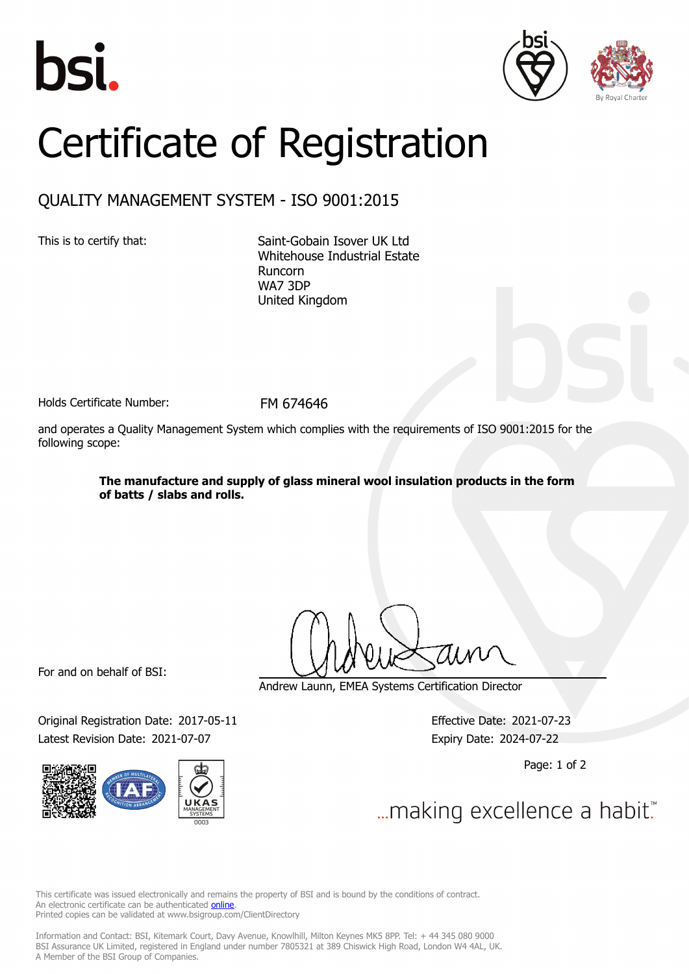





## Certificate of Registration

## QUALITY MANAGEMENT SYSTEM - ISO 9001:2015

This is to certify that: Saint-Gobain Isover UK Ltd Whitehouse Industrial Estate Runcorn WA7 3DP United Kingdom

Holds Certificate Number: FM 674646

and operates a Quality Management System which complies with the requirements of ISO 9001:2015 for the following scope:

> **The manufacture and supply of glass mineral wool insulation products in the form of batts / slabs and rolls.**

For and on behalf of BSI:

Original Registration Date: 2017-05-11 Effective Date: 2021-07-23 Latest Revision Date: 2021-07-07 **Expiry Date: 2024-07-22** 



Andrew Launn, EMEA Systems Certification Director

Page: 1 of 2

... making excellence a habit."

This certificate was issued electronically and remains the property of BSI and is bound by the conditions of contract. An electronic certificate can be authenticated **[online](https://pgplus.bsigroup.com/CertificateValidation/CertificateValidator.aspx?CertificateNumber=FM+674646&ReIssueDate=07%2f07%2f2021&Template=uk)**. Printed copies can be validated at www.bsigroup.com/ClientDirectory

Information and Contact: BSI, Kitemark Court, Davy Avenue, Knowlhill, Milton Keynes MK5 8PP. Tel: + 44 345 080 9000 BSI Assurance UK Limited, registered in England under number 7805321 at 389 Chiswick High Road, London W4 4AL, UK. A Member of the BSI Group of Companies.